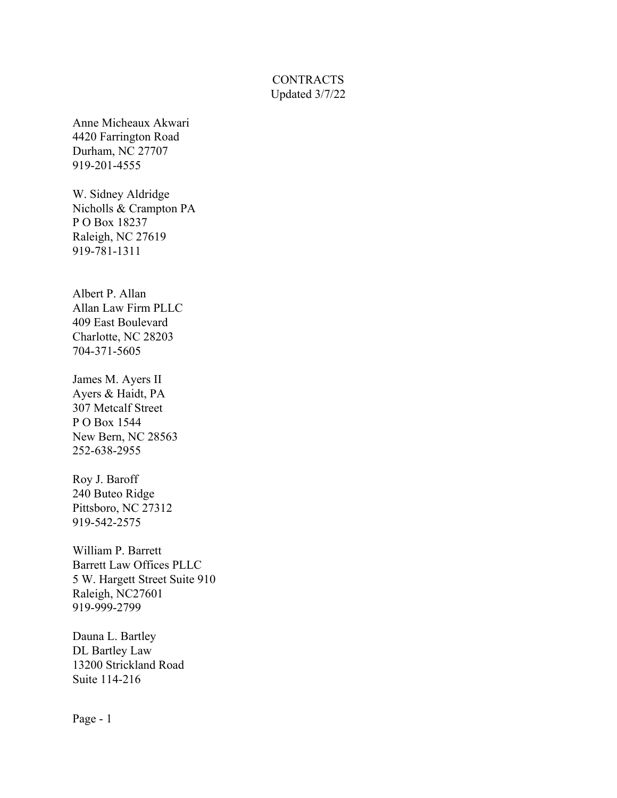## **CONTRACTS** Updated 3/7/22

Anne Micheaux Akwari 4420 Farrington Road Durham, NC 27707 919-201-4555

W. Sidney Aldridge Nicholls & Crampton PA P O Box 18237 Raleigh, NC 27619 919-781-1311

Albert P. Allan Allan Law Firm PLLC 409 East Boulevard Charlotte, NC 28203 704-371-5605

James M. Ayers II Ayers & Haidt, PA 307 Metcalf Street P O Box 1544 New Bern, NC 28563 252-638-2955

Roy J. Baroff 240 Buteo Ridge Pittsboro, NC 27312 919-542-2575

William P. Barrett Barrett Law Offices PLLC 5 W. Hargett Street Suite 910 Raleigh, NC27601 919-999-2799

Dauna L. Bartley DL Bartley Law 13200 Strickland Road Suite 114-216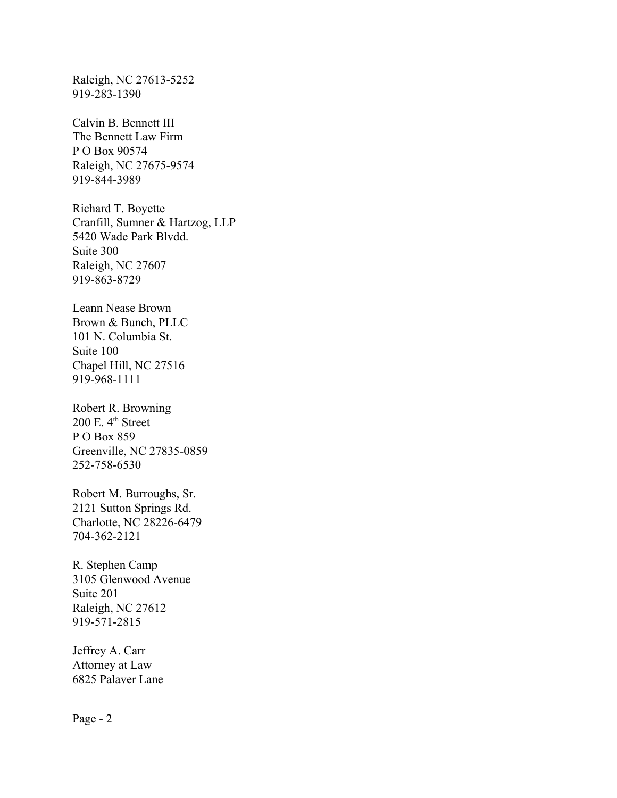Raleigh, NC 27613-5252 919-283-1390

Calvin B. Bennett III The Bennett Law Firm P O Box 90574 Raleigh, NC 27675-9574 919-844-3989

Richard T. Boyette Cranfill, Sumner & Hartzog, LLP 5420 Wade Park Blvdd. Suite 300 Raleigh, NC 27607 919-863-8729

Leann Nease Brown Brown & Bunch, PLLC 101 N. Columbia St. Suite 100 Chapel Hill, NC 27516 919-968-1111

Robert R. Browning  $200$  E.  $4<sup>th</sup>$  Street P O Box 859 Greenville, NC 27835-0859 252-758-6530

Robert M. Burroughs, Sr. 2121 Sutton Springs Rd. Charlotte, NC 28226-6479 704-362-2121

R. Stephen Camp 3105 Glenwood Avenue Suite 201 Raleigh, NC 27612 919-571-2815

Jeffrey A. Carr Attorney at Law 6825 Palaver Lane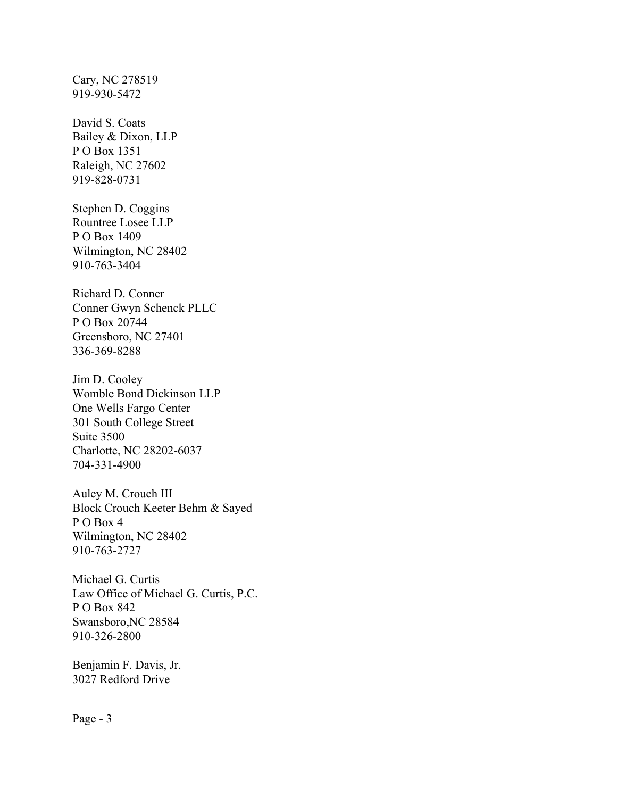Cary, NC 278519 919-930-5472

David S. Coats Bailey & Dixon, LLP P O Box 1351 Raleigh, NC 27602 919-828-0731

Stephen D. Coggins Rountree Losee LLP P O Box 1409 Wilmington, NC 28402 910-763-3404

Richard D. Conner Conner Gwyn Schenck PLLC P O Box 20744 Greensboro, NC 27401 336-369-8288

Jim D. Cooley Womble Bond Dickinson LLP One Wells Fargo Center 301 South College Street Suite 3500 Charlotte, NC 28202-6037 704-331-4900

Auley M. Crouch III Block Crouch Keeter Behm & Sayed P O Box 4 Wilmington, NC 28402 910-763-2727

Michael G. Curtis Law Office of Michael G. Curtis, P.C. P O Box 842 Swansboro,NC 28584 910-326-2800

Benjamin F. Davis, Jr. 3027 Redford Drive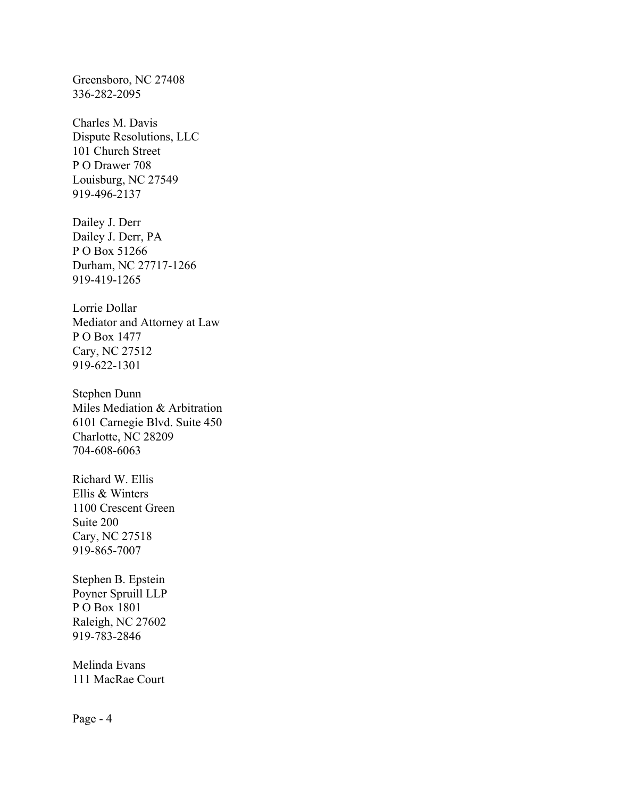Greensboro, NC 27408 336-282-2095

Charles M. Davis Dispute Resolutions, LLC 101 Church Street P O Drawer 708 Louisburg, NC 27549 919-496-2137

Dailey J. Derr Dailey J. Derr, PA P O Box 51266 Durham, NC 27717-1266 919-419-1265

Lorrie Dollar Mediator and Attorney at Law P O Box 1477 Cary, NC 27512 919-622-1301

Stephen Dunn Miles Mediation & Arbitration 6101 Carnegie Blvd. Suite 450 Charlotte, NC 28209 704-608-6063

Richard W. Ellis Ellis & Winters 1100 Crescent Green Suite 200 Cary, NC 27518 919-865-7007

Stephen B. Epstein Poyner Spruill LLP P O Box 1801 Raleigh, NC 27602 919-783-2846

Melinda Evans 111 MacRae Court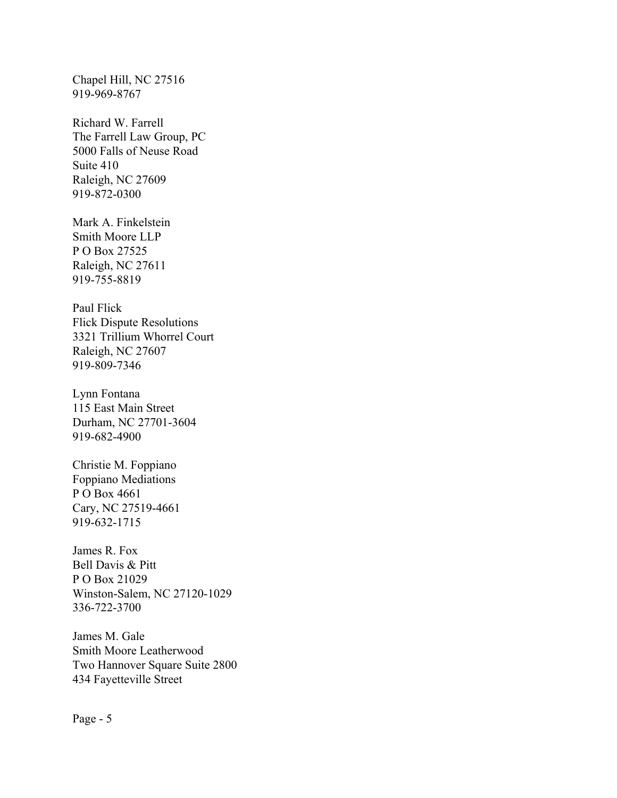Chapel Hill, NC 27516 919-969-8767

Richard W. Farrell The Farrell Law Group, PC 5000 Falls of Neuse Road Suite 410 Raleigh, NC 27609 919-872-0300

Mark A. Finkelstein Smith Moore LLP P O Box 27525 Raleigh, NC 27611 919-755-8819

Paul Flick Flick Dispute Resolutions 3321 Trillium Whorrel Court Raleigh, NC 27607 919-809-7346

Lynn Fontana 115 East Main Street Durham, NC 27701-3604 919-682-4900

Christie M. Foppiano Foppiano Mediations P O Box 4661 Cary, NC 27519-4661 919-632-1715

James R. Fox Bell Davis & Pitt P O Box 21029 Winston-Salem, NC 27120-1029 336-722-3700

James M. Gale Smith Moore Leatherwood Two Hannover Square Suite 2800 434 Fayetteville Street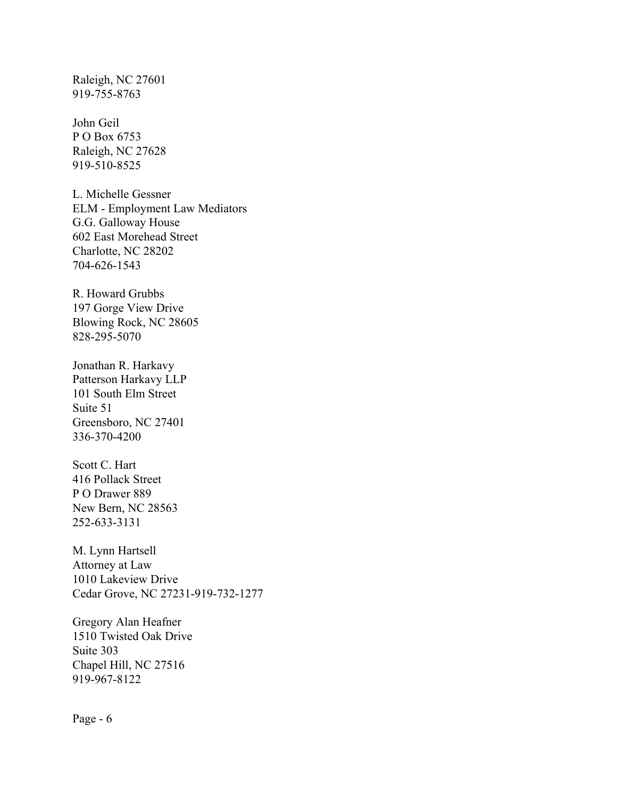Raleigh, NC 27601 919-755-8763

John Geil P O Box 6753 Raleigh, NC 27628 919-510-8525

L. Michelle Gessner ELM - Employment Law Mediators G.G. Galloway House 602 East Morehead Street Charlotte, NC 28202 704-626-1543

R. Howard Grubbs 197 Gorge View Drive Blowing Rock, NC 28605 828-295-5070

Jonathan R. Harkavy Patterson Harkavy LLP 101 South Elm Street Suite 51 Greensboro, NC 27401 336-370-4200

Scott C. Hart 416 Pollack Street P O Drawer 889 New Bern, NC 28563 252-633-3131

M. Lynn Hartsell Attorney at Law 1010 Lakeview Drive Cedar Grove, NC 27231-919-732-1277

Gregory Alan Heafner 1510 Twisted Oak Drive Suite 303 Chapel Hill, NC 27516 919-967-8122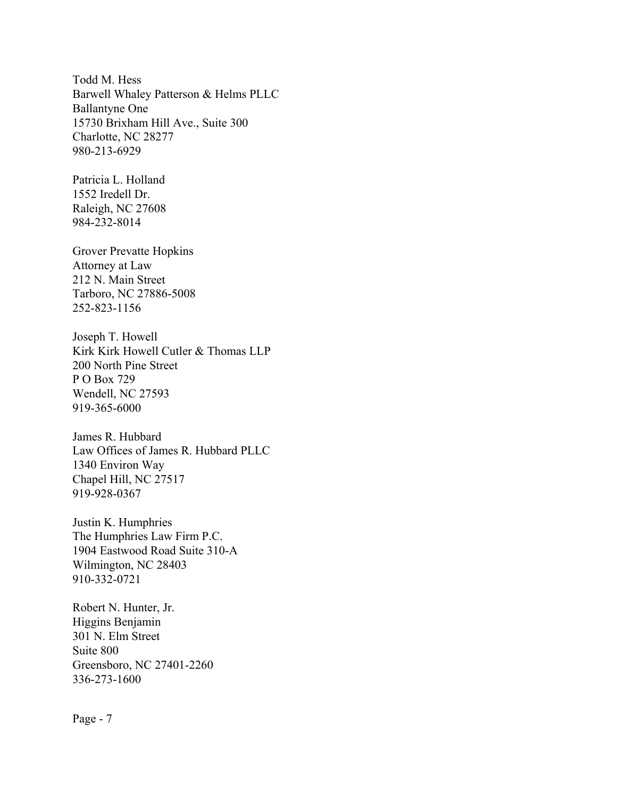Todd M. Hess Barwell Whaley Patterson & Helms PLLC Ballantyne One 15730 Brixham Hill Ave., Suite 300 Charlotte, NC 28277 980-213-6929

Patricia L. Holland 1552 Iredell Dr. Raleigh, NC 27608 984-232-8014

Grover Prevatte Hopkins Attorney at Law 212 N. Main Street Tarboro, NC 27886-5008 252-823-1156

Joseph T. Howell Kirk Kirk Howell Cutler & Thomas LLP 200 North Pine Street P O Box 729 Wendell, NC 27593 919-365-6000

James R. Hubbard Law Offices of James R. Hubbard PLLC 1340 Environ Way Chapel Hill, NC 27517 919-928-0367

Justin K. Humphries The Humphries Law Firm P.C. 1904 Eastwood Road Suite 310-A Wilmington, NC 28403 910-332-0721

Robert N. Hunter, Jr. Higgins Benjamin 301 N. Elm Street Suite 800 Greensboro, NC 27401-2260 336-273-1600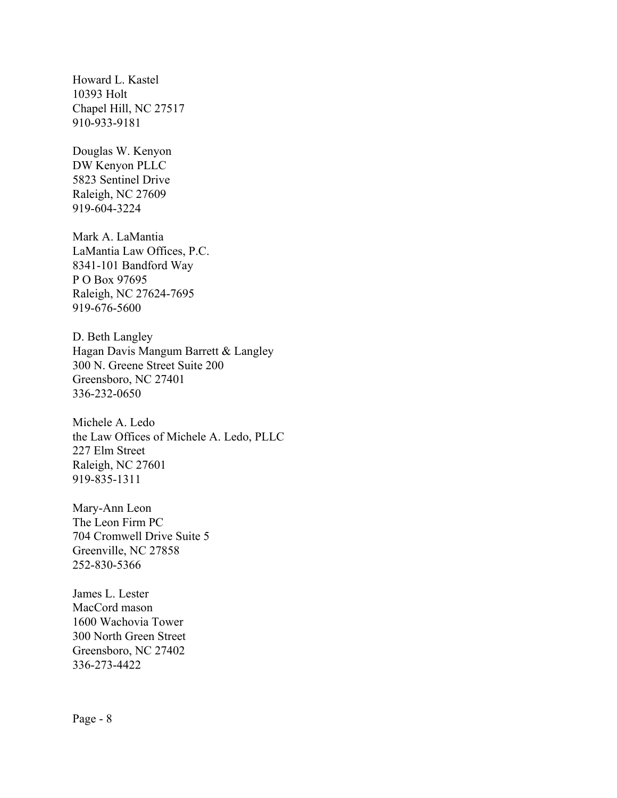Howard L. Kastel 10393 Holt Chapel Hill, NC 27517 910-933-9181

Douglas W. Kenyon DW Kenyon PLLC 5823 Sentinel Drive Raleigh, NC 27609 919-604-3224

Mark A. LaMantia LaMantia Law Offices, P.C. 8341-101 Bandford Way P O Box 97695 Raleigh, NC 27624-7695 919-676-5600

D. Beth Langley Hagan Davis Mangum Barrett & Langley 300 N. Greene Street Suite 200 Greensboro, NC 27401 336-232-0650

Michele A. Ledo the Law Offices of Michele A. Ledo, PLLC 227 Elm Street Raleigh, NC 27601 919-835-1311

Mary-Ann Leon The Leon Firm PC 704 Cromwell Drive Suite 5 Greenville, NC 27858 252-830-5366

James L. Lester MacCord mason 1600 Wachovia Tower 300 North Green Street Greensboro, NC 27402 336-273-4422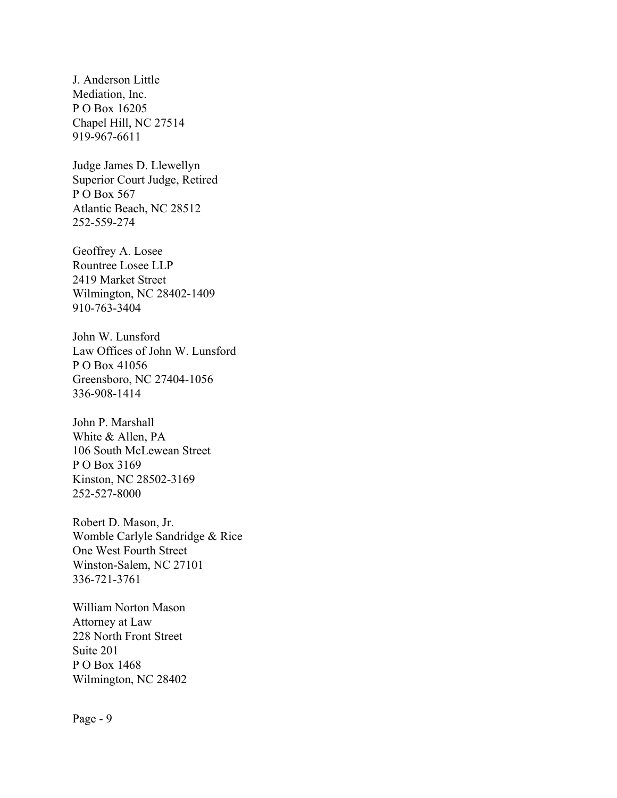J. Anderson Little Mediation, Inc. P O Box 16205 Chapel Hill, NC 27514 919-967-6611

Judge James D. Llewellyn Superior Court Judge, Retired P O Box 567 Atlantic Beach, NC 28512 252-559-274

Geoffrey A. Losee Rountree Losee LLP 2419 Market Street Wilmington, NC 28402-1409 910-763-3404

John W. Lunsford Law Offices of John W. Lunsford P O Box 41056 Greensboro, NC 27404-1056 336-908-1414

John P. Marshall White & Allen, PA 106 South McLewean Street P O Box 3169 Kinston, NC 28502-3169 252-527-8000

Robert D. Mason, Jr. Womble Carlyle Sandridge & Rice One West Fourth Street Winston-Salem, NC 27101 336-721-3761

William Norton Mason Attorney at Law 228 North Front Street Suite 201 P O Box 1468 Wilmington, NC 28402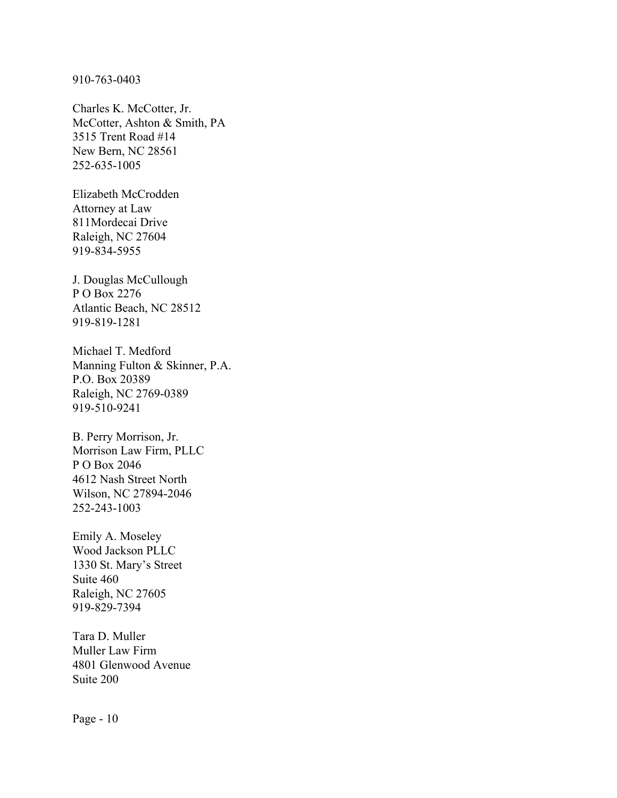910-763-0403

Charles K. McCotter, Jr. McCotter, Ashton & Smith, PA 3515 Trent Road #14 New Bern, NC 28561 252-635-1005

Elizabeth McCrodden Attorney at Law 811Mordecai Drive Raleigh, NC 27604 919-834-5955

J. Douglas McCullough P O Box 2276 Atlantic Beach, NC 28512 919-819-1281

Michael T. Medford Manning Fulton & Skinner, P.A. P.O. Box 20389 Raleigh, NC 2769-0389 919-510-9241

B. Perry Morrison, Jr. Morrison Law Firm, PLLC P O Box 2046 4612 Nash Street North Wilson, NC 27894-2046 252-243-1003

Emily A. Moseley Wood Jackson PLLC 1330 St. Mary's Street Suite 460 Raleigh, NC 27605 919-829-7394

Tara D. Muller Muller Law Firm 4801 Glenwood Avenue Suite 200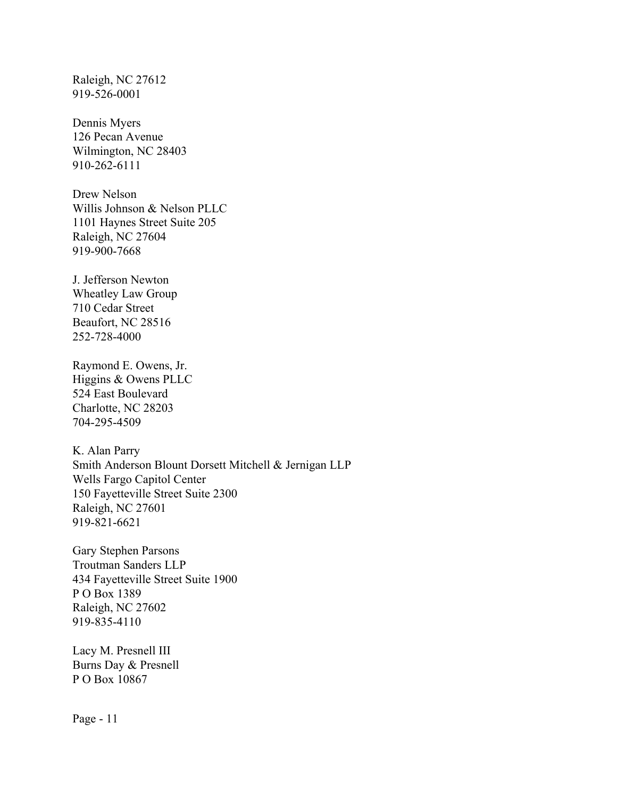Raleigh, NC 27612 919-526-0001

Dennis Myers 126 Pecan Avenue Wilmington, NC 28403 910-262-6111

Drew Nelson Willis Johnson & Nelson PLLC 1101 Haynes Street Suite 205 Raleigh, NC 27604 919-900-7668

J. Jefferson Newton Wheatley Law Group 710 Cedar Street Beaufort, NC 28516 252-728-4000

Raymond E. Owens, Jr. Higgins & Owens PLLC 524 East Boulevard Charlotte, NC 28203 704-295-4509

K. Alan Parry Smith Anderson Blount Dorsett Mitchell & Jernigan LLP Wells Fargo Capitol Center 150 Fayetteville Street Suite 2300 Raleigh, NC 27601 919-821-6621

Gary Stephen Parsons Troutman Sanders LLP 434 Fayetteville Street Suite 1900 P O Box 1389 Raleigh, NC 27602 919-835-4110

Lacy M. Presnell III Burns Day & Presnell P O Box 10867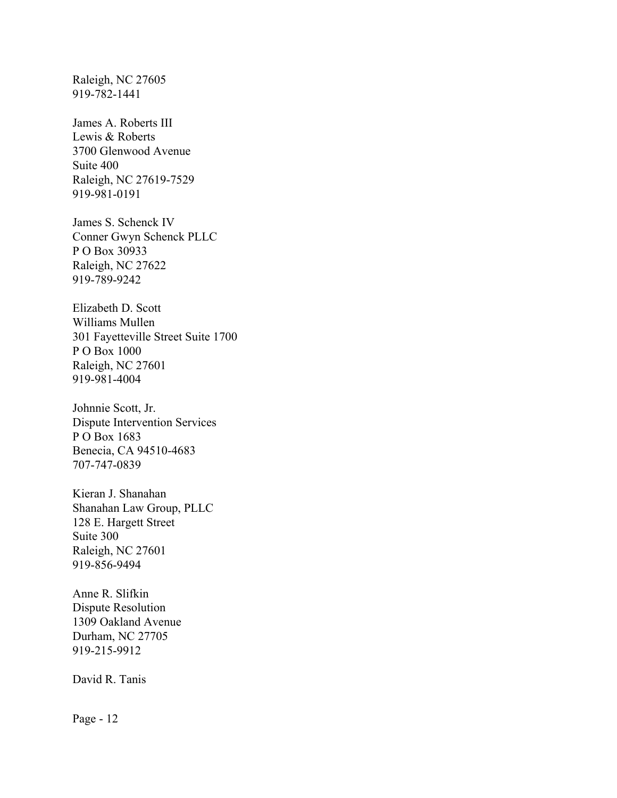Raleigh, NC 27605 919-782-1441

James A. Roberts III Lewis & Roberts 3700 Glenwood Avenue Suite 400 Raleigh, NC 27619-7529 919-981-0191

James S. Schenck IV Conner Gwyn Schenck PLLC P O Box 30933 Raleigh, NC 27622 919-789-9242

Elizabeth D. Scott Williams Mullen 301 Fayetteville Street Suite 1700 P O Box 1000 Raleigh, NC 27601 919-981-4004

Johnnie Scott, Jr. Dispute Intervention Services P O Box 1683 Benecia, CA 94510-4683 707-747-0839

Kieran J. Shanahan Shanahan Law Group, PLLC 128 E. Hargett Street Suite 300 Raleigh, NC 27601 919-856-9494

Anne R. Slifkin Dispute Resolution 1309 Oakland Avenue Durham, NC 27705 919-215-9912

David R. Tanis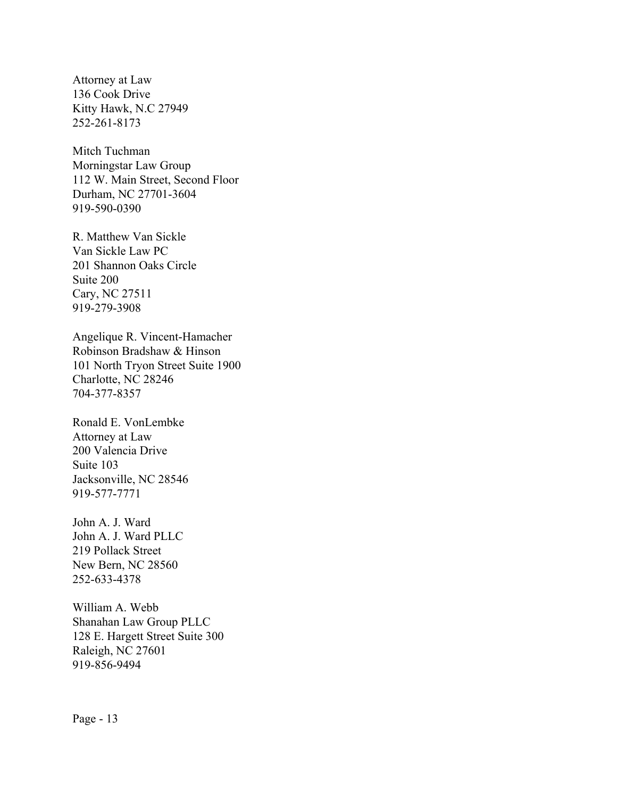Attorney at Law 136 Cook Drive Kitty Hawk, N.C 27949 252-261-8173

Mitch Tuchman Morningstar Law Group 112 W. Main Street, Second Floor Durham, NC 27701-3604 919-590-0390

R. Matthew Van Sickle Van Sickle Law PC 201 Shannon Oaks Circle Suite 200 Cary, NC 27511 919-279-3908

Angelique R. Vincent-Hamacher Robinson Bradshaw & Hinson 101 North Tryon Street Suite 1900 Charlotte, NC 28246 704-377-8357

Ronald E. VonLembke Attorney at Law 200 Valencia Drive Suite 103 Jacksonville, NC 28546 919-577-7771

John A. J. Ward John A. J. Ward PLLC 219 Pollack Street New Bern, NC 28560 252-633-4378

William A. Webb Shanahan Law Group PLLC 128 E. Hargett Street Suite 300 Raleigh, NC 27601 919-856-9494